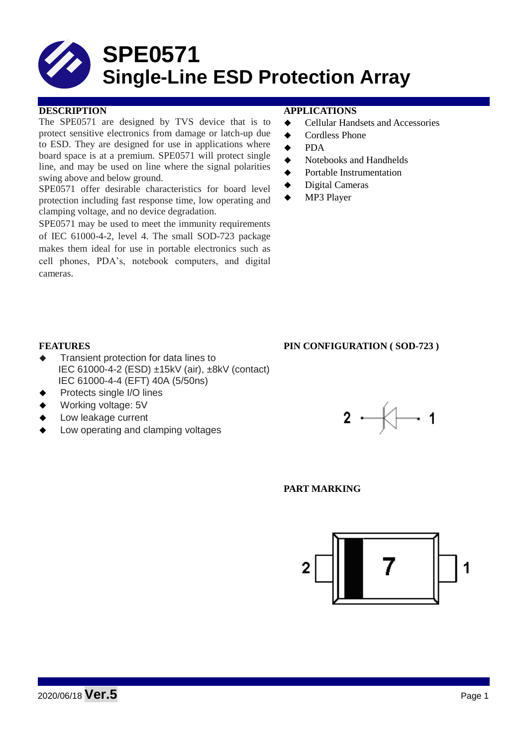# **SPE0571 Single-Line ESD Protection Array**

### **DESCRIPTION APPLICATIONS**

The SPE0571 are designed by TVS device that is to protect sensitive electronics from damage or latch-up due to ESD. They are designed for use in applications where board space is at a premium. SPE0571 will protect single line, and may be used on line where the signal polarities swing above and below ground.

SPE0571 offer desirable characteristics for board level protection including fast response time, low operating and clamping voltage, and no device degradation.

SPE0571 may be used to meet the immunity requirements of IEC 61000-4-2, level 4. The small SOD-723 package makes them ideal for use in portable electronics such as cell phones, PDA's, notebook computers, and digital cameras.

- **←** Cellular Handsets and Accessories
- ◆ Cordless Phone
- $\bullet$  PDA
- Notebooks and Handhelds
- Portable Instrumentation
- ◆ Digital Cameras
- MP3 Player

#### **FEATURES PIN CONFIGURATION ( SOD-723 )**

- Transient protection for data lines to IEC 61000-4-2 (ESD) ±15kV (air), ±8kV (contact) IEC 61000-4-4 (EFT) 40A (5/50ns)
- Protects single I/O lines
- Working voltage: 5V
- Low leakage current
- Low operating and clamping voltages



**PART MARKING**

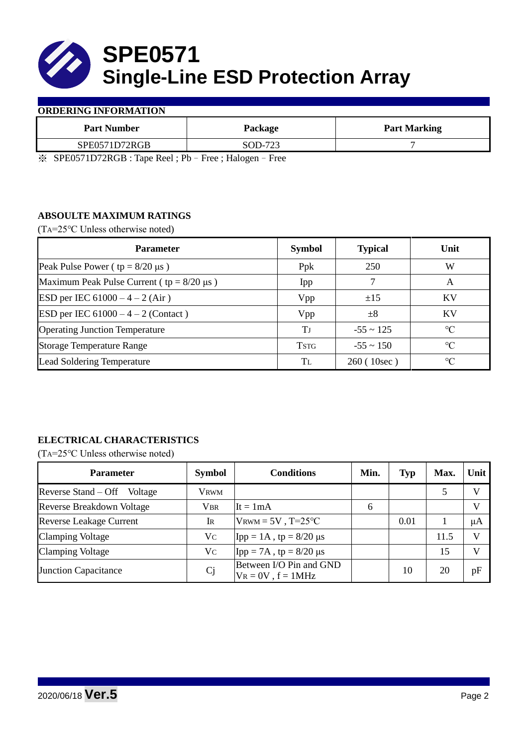

#### **ORDERING INFORMATION**

| <b>Part Number</b> | Package                     | <b>Part Marking</b> |
|--------------------|-----------------------------|---------------------|
| SPE0571D72RGB      | SOD-723                     |                     |
|                    | $\sim$<br>$- - -$<br>$\sim$ |                     |

※ SPE0571D72RGB : Tape Reel ; Pb–Free ; Halogen–Free

# **ABSOULTE MAXIMUM RATINGS**

(TA=25℃ Unless otherwise noted)

| <b>Parameter</b>                                 | <b>Symbol</b> | <b>Typical</b> | Unit            |
|--------------------------------------------------|---------------|----------------|-----------------|
| Peak Pulse Power ( $tp = 8/20 \mu s$ )           | Ppk           | 250            | W               |
| Maximum Peak Pulse Current ( $tp = 8/20 \mu s$ ) | Ipp           |                | A               |
| ESD per IEC $61000 - 4 - 2$ (Air)                | Vpp           | ±15            | KV              |
| ESD per IEC $61000 - 4 - 2$ (Contact)            | Vpp           | $\pm 8$        | KV              |
| <b>Operating Junction Temperature</b>            | Tі            | $-55 \sim 125$ | $\circ$ C       |
| <b>Storage Temperature Range</b>                 | <b>TSTG</b>   | $-55 \sim 150$ | $\rm ^{\circ}C$ |
| <b>Lead Soldering Temperature</b>                | Tī.           | 260 (10sec)    | $\rm ^{\circ}C$ |

# **ELECTRICAL CHARACTERISTICS**

(TA=25℃ Unless otherwise noted)

| <b>Parameter</b>                 | <b>Symbol</b>  | <b>Conditions</b>                                  | Min. | <b>Typ</b> | Max. | Unit         |
|----------------------------------|----------------|----------------------------------------------------|------|------------|------|--------------|
| Reverse Stand – Off<br>Voltage   | <b>VRWM</b>    |                                                    |      |            |      | $\mathbf{V}$ |
| <b>Reverse Breakdown Voltage</b> | <b>VBR</b>     | $It = 1mA$                                         | 6    |            |      | $\mathbf{V}$ |
| <b>Reverse Leakage Current</b>   | $\rm I\!R$     | $V_{\text{RWM}} = 5V$ , T=25°C                     |      | 0.01       |      | μA           |
| <b>Clamping Voltage</b>          | Vc             | Ipp = 1A, tp = $8/20$ μs                           |      |            | 11.5 | V            |
| <b>Clamping Voltage</b>          | Vc             | $\text{Ipp} = 7\text{A}$ , tp = 8/20 µs            |      |            | 15   | $\mathbf{V}$ |
| <b>Junction Capacitance</b>      | C <sub>j</sub> | Between I/O Pin and GND<br>$V_R = 0V$ , $f = 1MHz$ |      | 10         | 20   | pF           |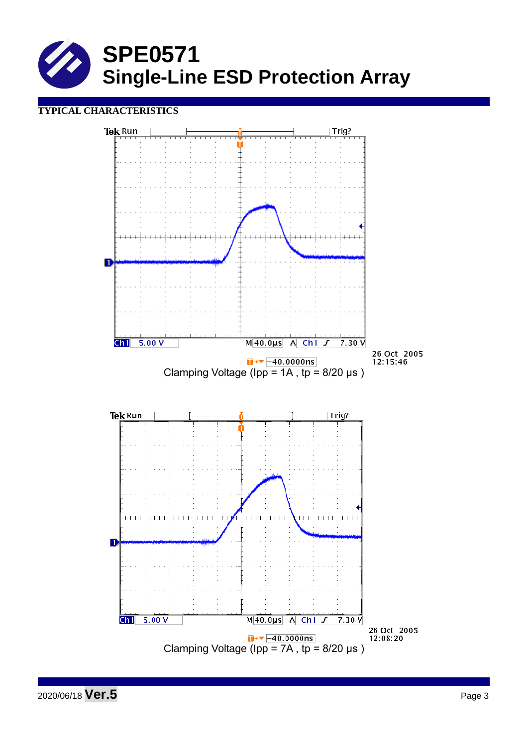

## **TYPICAL CHARACTERISTICS**

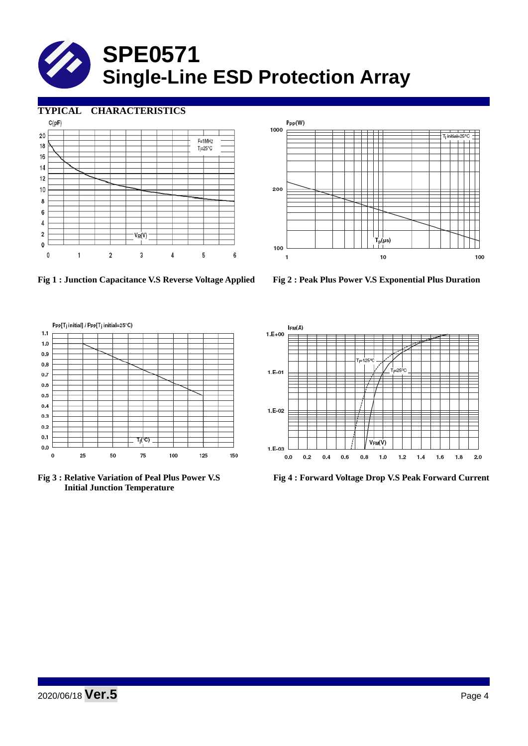# **SPE0571 Single-Line ESD Protection Array**

### **TYPICAL CHARACTERISTICS**





**Fig 1 : Junction Capacitance V.S Reverse Voltage Applied Fig 2 : Peak Plus Power V.S Exponential Plus Duration**





 **Initial Junction Temperature** 



**Fig 3 : Relative Variation of Peal Plus Power V.S Fig 4 : Forward Voltage Drop V.S Peak Forward Current**